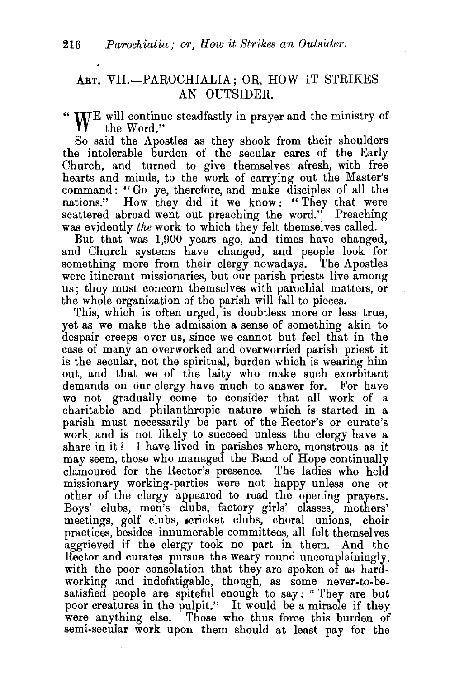## ART. VII.-PAROCHIALIA; OR, HOW IT STRIKES AN OUTSIDER.

"  $W^E$  will continue steadfastly in prayer and the ministry of the Word" the Word."

So said the Apostles as they shook from their shoulders the intolerable burden of the secular cares of the Early Church, and turned to give themselves afresh, with free hearts and minds, to the work of carrying out the Master's command: " Go ye, therefore, and make disciples of all the nations." How they did it we know : " They that were scattered abroad went out preaching the word." Preaching was evidently *the* work to which they felt themselves called.

But that was 1,900 years ago, and times have changed, and Church systems have changed, and people look for something more from their clergy nowadays. The Apostles were itinerant missionaries, but our parish priests live among us; they must concern themselves with parochial matters, or the whole organization of the parish will fall to pieces.

This, which is often urged, is doubtless more or less true, yet as we make the admission a sense of something akin to despair creeps over us, since we cannot but feel that in the case of many an overworked and overworried parish priest it is the secular, not the spiritual, burden which is wearing him out, and that we of the laity who make such exorbitant demands on our clergy have much to answer for. For have we not gradually come to consider that all work of a charitable and philanthropic nature which is started in a parish must necessarily be part of the Rector's or curate's work, and is not likely to succeed unless the clergy have a share in it? I have lived in parishes where, monstrous as it may seem, those who managed the Band of Hope continually clamoured for the Rector's presence. The ladies who held missionary working-parties were not happy unless one or other of the clergy appeared to read the opening prayers. Boys' clubs, men's clubs, factory girls' classes, mothers' meetings, golf clubs, scricket clubs, choral unions, choir practices, besides innumerable committees, all felt themselves aggrieved if the clergy took no part in them. And the Rector and curates pursue the weary round uncomplainingly, with the poor consolation that they are spoken of as hardworking and indefatigable, though, as some never-to-besatisfied people are spiteful enough to say: "They are but poor creatures in the pulpit." It would be a miracle if they were anything else. Those who thus force this burden of semi-secular work upon them should at least pay for the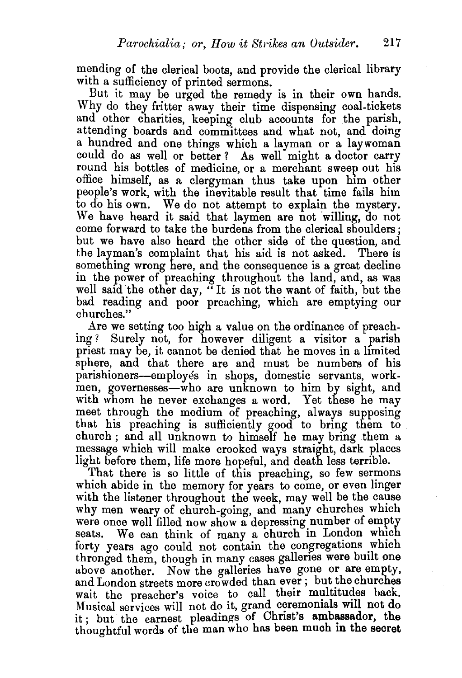mending of the clerical boots, and provide the clerical library with a sufficiency of printed sermons.

But it may be urged the remedy is in their own hands. Why do they fritter away their time dispensing coal-tickets and other charities, keeping club accounts for the parish, attending boards and committees and what not, and doing a hundred and one things which a layman or a laywoman could do as well or better ? As well might a doctor carry round his bottles of medicine, or a merchant sweep out his office himself, as a clergyman thus take upon him other people's work, with the inevitable result that time fails him to do his own. We do not attempt to explain the mystery. We have heard it said that laymen are not willing, do not come forward to take the burdens from the clerical shoulders ; but we have also heard the other side of the question, and the layman's complaint that his aid is not asked. There is something wrong here, and the consequence is a great decline in the power of preaching throughout the land, and, as was well said the other day, "It is not the want of faith, but the bad reading and poor preaching, which are emptying our churches."

Are we setting too high a value on the ordinance of preaching? Surely not, for however diligent a visitor a parish Surely not, for however diligent a visitor a parish priest may be, it cannot be denied that he moves in a limited sphere, and that there are and must be numbers of his parishioners-employes in shops, domestic servants, workmen, governesses—who are unknown to him by sight, and with whom he never exchanges a word. Yet these he may meet through the medium of preaching, always supposing that his preaching is sufficiently good to bring them to church; and all unknown to himself he may bring them a message which will make crooked ways straight, dark places light before them, life more hopeful, and death less terrible.

That there is so little of this preaching, so few sermons which abide in the memory for years to come, or even linger with the listener throughout the week, may well be the cause why men weary of church-going, and many churches which were once well filled now show a depressing number of empty seats. We can think of many a church in London which forty years ago could not contain the congregations which thronged them, though in many cases galleries were built one above another. Now the galleries have gone or are empty, and London streets more crowded than ever ; but the churches wait the preacher's voice to call their multitudes back. Musical services will not do it, grand ceremonials will not do it; but the earnest pleadings of Christ's ambassador, the thoughtful words of the man who has been much in the secret